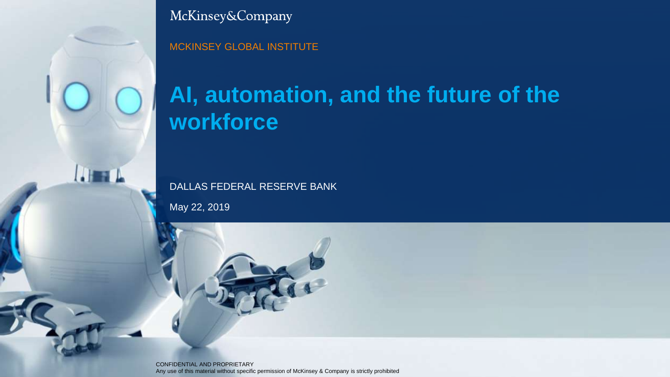

McKinsey&Company

MCKINSEY GLOBAL INSTITUTE

## **AI, automation, and the future of the workforce**

DALLAS FEDERAL RESERVE BANK

May 22, 2019

CONFIDENTIAL AND PROPRIETARY Any use of this material without specific permission of McKinsey & Company is strictly prohibited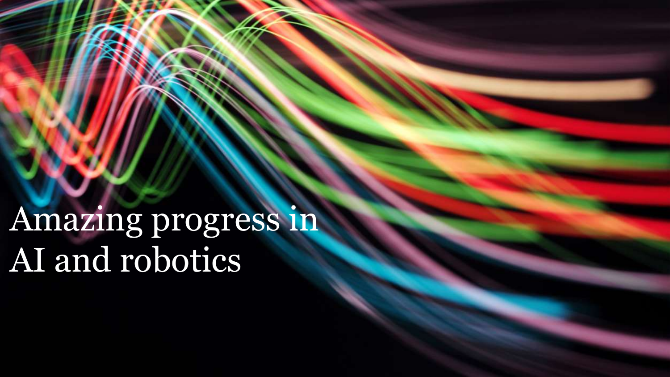Amazing progress in AI and robotics

1 **Future of work….**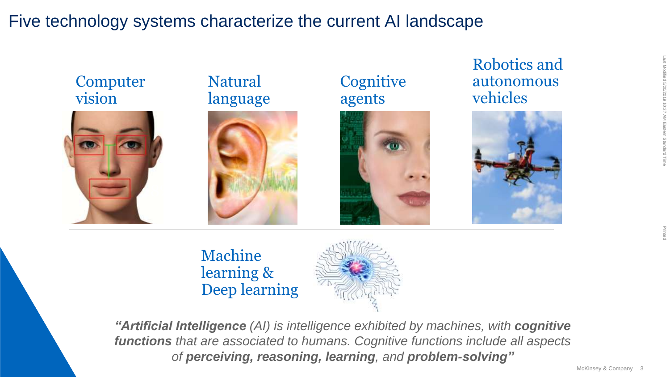## Five technology systems characterize the current AI landscape



Machine learning & Deep learning



*"Artificial Intelligence (AI) is intelligence exhibited by machines, with cognitive functions that are associated to humans. Cognitive functions include all aspects of perceiving, reasoning, learning, and problem-solving"*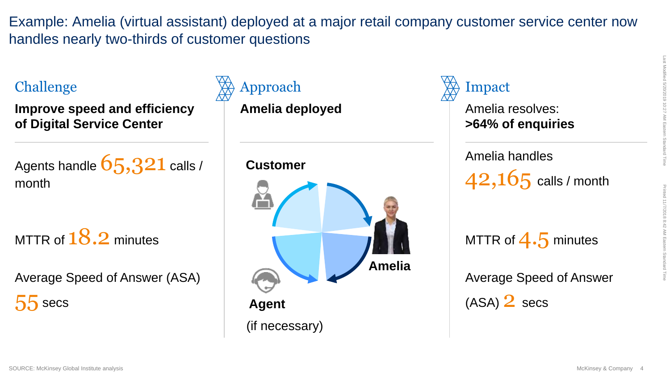Example: Amelia (virtual assistant) deployed at a major retail company customer service center now handles nearly two-thirds of customer questions

**Improve speed and efficiency of Digital Service Center**

Agents handle  $65,321$  calls / month

MTTR of  $18.2$  minutes

Average Speed of Answer (ASA)  $55$  secs

## Challenge Approach

**Amelia deployed**

#### **Customer**



## Impact

Amelia resolves: **>64% of enquiries**

#### Amelia handles

 $42,165$  calls / month

MTTR of  $4.5$  minutes

Average Speed of Answer

 $(ASA)$   $2$  secs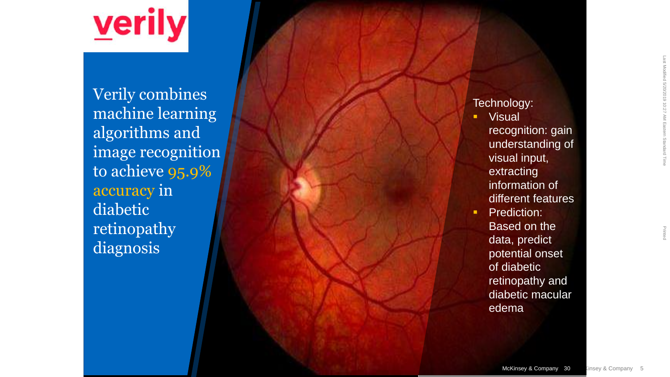

Verily combines machine learning algorithms and image recognition to achieve 95.9% accuracy in diabetic retinopathy diagnosis

#### Technology:

- Visual
	- recognition: gain understanding of visual input, extracting information of different features
- Prediction: Based on the data, predict potential onset of diabetic retinopathy and diabetic macular edema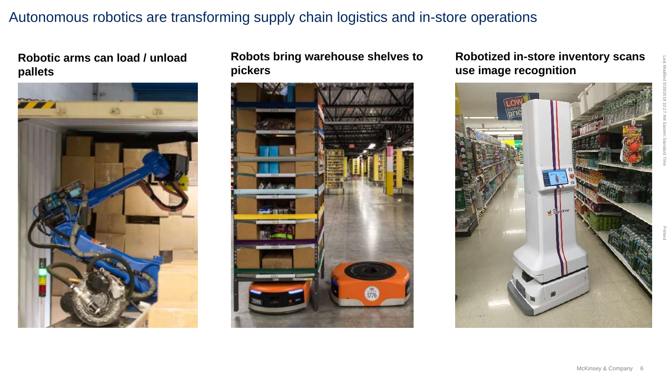#### Autonomous robotics are transforming supply chain logistics and in-store operations

#### **Robotic arms can load / unload pallets**



#### **Robots bring warehouse shelves to pickers**



#### **Robotized in-store inventory scans use image recognition**

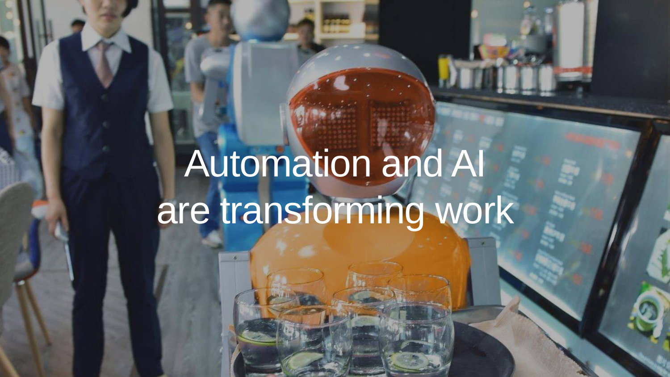## Automation and AI are transforming work

McKinsey & Company

Last Modified 5/20/2019 10:27 AM Eastern Standard Time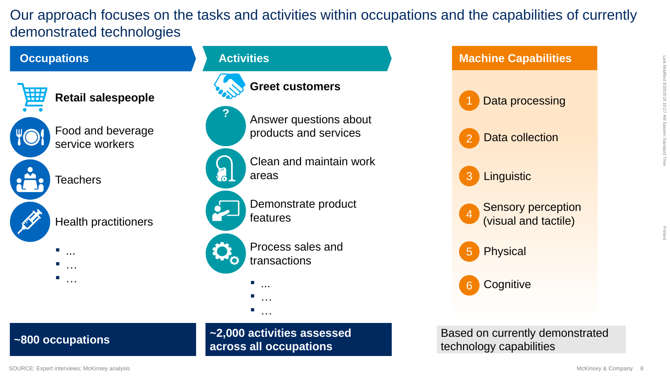Our approach focuses on the tasks and activities within occupations and the capabilities of currently demonstrated technologies





Based on currently demonstrated technology capabilities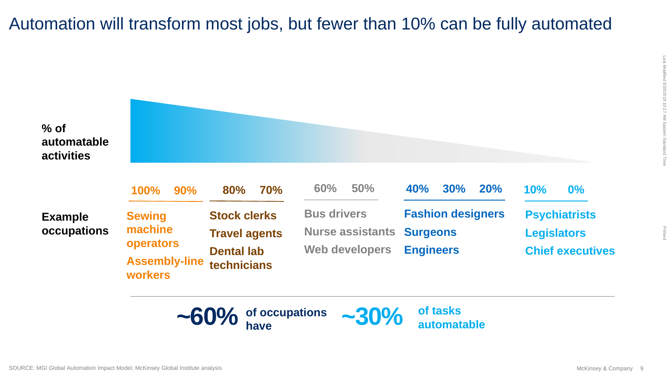## Automation will transform most jobs, but fewer than 10% can be fully automated



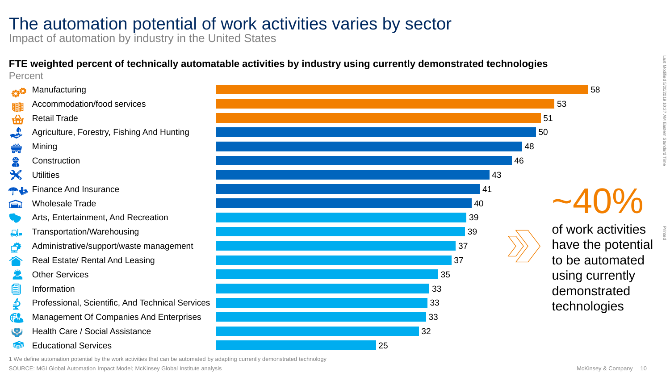### The automation potential of work activities varies by sector

Impact of automation by industry in the United States

#### **FTE weighted percent of technically automatable activities by industry using currently demonstrated technologies**  Percent





33

32

25

Last Modified 5/20/2019 10:27 AM Eastern Standard Time

Printed

using currently demonstrated technologies

1 We define automation potential by the work activities that can be automated by adapting currently demonstrated technology

SOURCE: MGI Global Automation Impact Model; McKinsey Global Institute analysis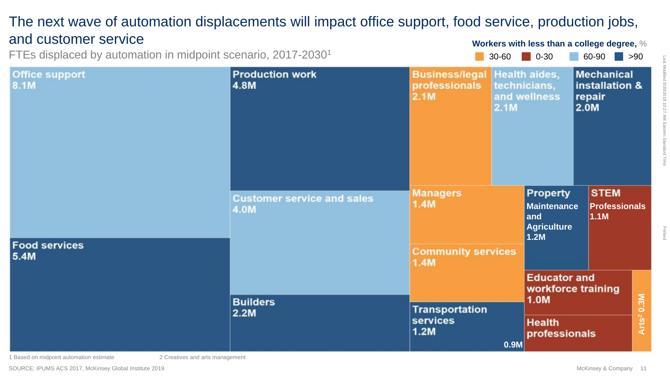#### The next wave of automation displacements will impact office support, food service, production jobs, and customer service

FTEs displaced by automation in midpoint scenario, 2017-2030<sup>1</sup>

 $30-60$  0-30 60-90  $\rightarrow$  90 **Workers with less than a college degree,** %

| <b>Office support</b><br>8.1M | <b>Production work</b><br>4.8M            | <b>Business/legal Health aides,</b><br>professionals<br>2.1M | technicians,<br>and wellness<br>2.1M |                                                                                     | <b>Mechanical</b><br>installation &<br>repair<br>2.0M |                                     |                        |  |
|-------------------------------|-------------------------------------------|--------------------------------------------------------------|--------------------------------------|-------------------------------------------------------------------------------------|-------------------------------------------------------|-------------------------------------|------------------------|--|
| <b>Food services</b>          | <b>Customer service and sales</b><br>4.0M | <b>Managers</b><br>1.4M                                      |                                      | Property<br><b>Maintenance</b><br>1.1M<br>and<br><b>Agriculture</b><br>1.2M         |                                                       | <b>STEM</b><br><b>Professionals</b> |                        |  |
| 5.4M                          | <b>Builders</b><br>2.2M                   | <b>Community services</b><br>1.4M                            |                                      |                                                                                     |                                                       |                                     |                        |  |
|                               |                                           |                                                              |                                      | <b>Educator and</b><br>workforce training<br>1.0M<br><b>Health</b><br>professionals |                                                       |                                     |                        |  |
|                               |                                           | <b>Transportation</b><br>services<br>1.2M<br>0.9M            |                                      |                                                                                     |                                                       |                                     | Arts <sup>2</sup> 0.3M |  |
|                               |                                           |                                                              |                                      |                                                                                     |                                                       |                                     |                        |  |

1 Based on midpoint automation estimate 2 Creatives and arts management

SOURCE: IPUMS ACS 2017, McKinsey Global Institute 2019

Printed

 $\overline{\exists}$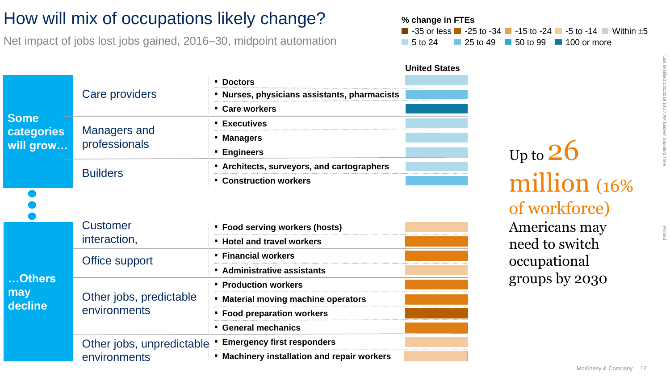### How will mix of occupations likely change?

Net impact of jobs lost jobs gained, 2016–30, midpoint automation

|                                               |                                         |                                                               | <b>United States</b> |
|-----------------------------------------------|-----------------------------------------|---------------------------------------------------------------|----------------------|
| <b>Some</b><br><b>categories</b><br>will grow | Care providers                          | <b>Doctors</b>                                                |                      |
|                                               |                                         | Nurses, physicians assistants, pharmacists                    |                      |
|                                               |                                         | • Care workers                                                |                      |
|                                               | Managers and<br>professionals           | <b>Executives</b>                                             |                      |
|                                               |                                         | <b>Managers</b>                                               |                      |
|                                               |                                         | <b>Engineers</b>                                              |                      |
|                                               |                                         | <b>Example 2 Set Architects, surveyors, and cartographers</b> |                      |
|                                               | <b>Builders</b>                         | <b>Construction workers</b>                                   |                      |
|                                               | <b>Customer</b>                         | <b>Food serving workers (hosts)</b>                           |                      |
| <b>.Others</b><br>may<br>decline              | interaction,                            | <b>Hotel and travel workers</b>                               |                      |
|                                               | Office support                          | <b>Financial workers</b>                                      |                      |
|                                               |                                         | <b>Administrative assistants</b>                              |                      |
|                                               | Other jobs, predictable<br>environments | <b>Production workers</b>                                     |                      |
|                                               |                                         | <b>Material moving machine operators</b><br>٠                 |                      |
|                                               |                                         | <b>Food preparation workers</b>                               |                      |
|                                               |                                         | <b>General mechanics</b>                                      |                      |

Other jobs, unpredictable ▪ **Emergency first responders** environments ▪ **Machinery installation and repair workers**

#### $\blacksquare$  -35 or less  $\blacksquare$  -25 to -34  $\blacksquare$  -15 to -24  $\blacksquare$  -5 to -14  $\blacksquare$  Within  $\pm 5$ **% change in FTEs** 5 to 24 25 to 49 50 to 99 100 or more

# Up to  $26$

## million (16% of workforce)

Americans may need to switch occupational groups by 2030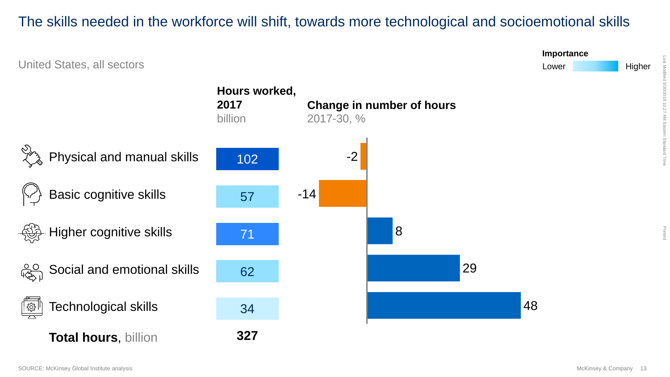#### The skills needed in the workforce will shift, towards more technological and socioemotional skills